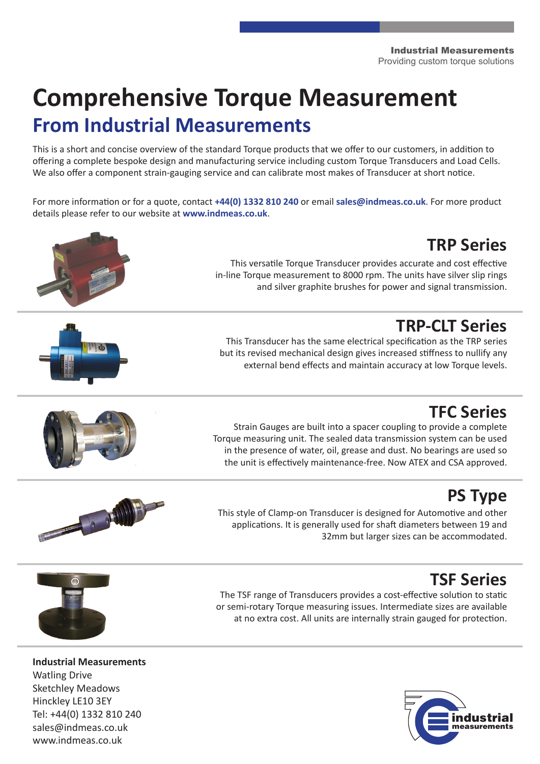Industrial Measurements Providing custom torque solutions

# **Comprehensive Torque Measurement From Industrial Measurements**

This is a short and concise overview of the standard Torque products that we offer to our customers, in addition to offering a complete bespoke design and manufacturing service including custom Torque Transducers and Load Cells. We also offer a component strain-gauging service and can calibrate most makes of Transducer at short notice.

For more information or for a quote, contact **+44(0) 1332 810 240** or email **sales@indmeas.co.uk**. For more product details please refer to our website at **www.indmeas.co.uk**.



www.indmeas.co.uk